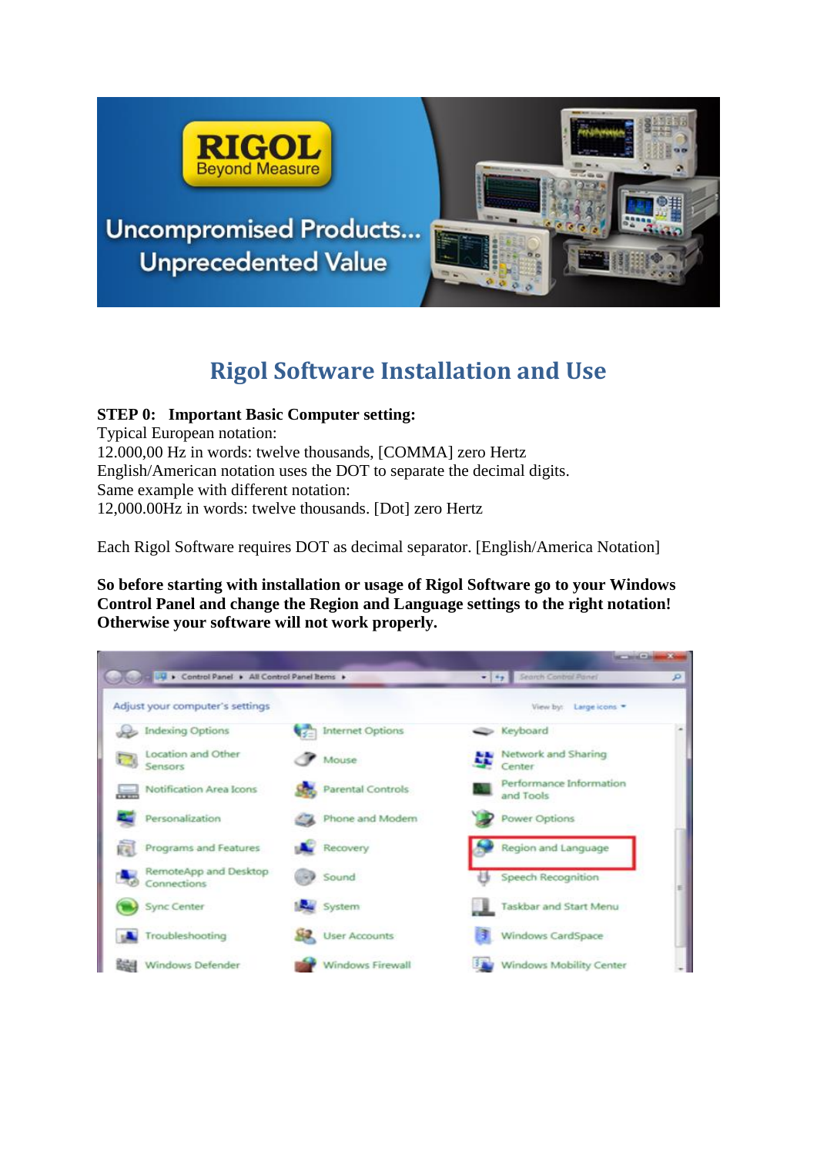

**Uncompromised Products... Unprecedented Value** 



# **Rigol Software Installation and Use**

# **STEP 0: Important Basic Computer setting:**

Typical European notation: 12.000,00 Hz in words: twelve thousands, [COMMA] zero Hertz English/American notation uses the DOT to separate the decimal digits. Same example with different notation: 12,000.00Hz in words: twelve thousands. [Dot] zero Hertz

Each Rigol Software requires DOT as decimal separator. [English/America Notation]

**So before starting with installation or usage of Rigol Software go to your Windows Control Panel and change the Region and Language settings to the right notation! Otherwise your software will not work properly.**

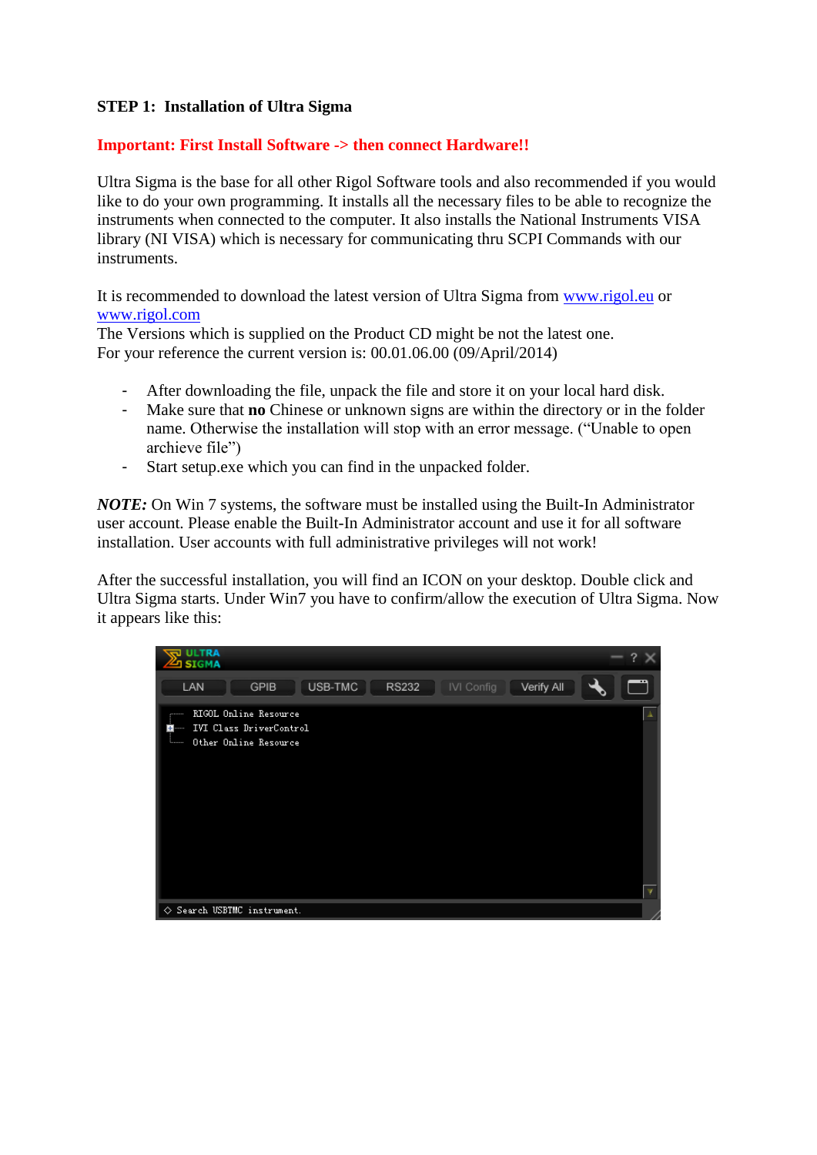### **STEP 1: Installation of Ultra Sigma**

#### **Important: First Install Software -> then connect Hardware!!**

Ultra Sigma is the base for all other Rigol Software tools and also recommended if you would like to do your own programming. It installs all the necessary files to be able to recognize the instruments when connected to the computer. It also installs the National Instruments VISA library (NI VISA) which is necessary for communicating thru SCPI Commands with our instruments.

It is recommended to download the latest version of Ultra Sigma from [www.rigol.eu](http://www.rigol.eu/) or [www.rigol.com](http://www.rigol.com/)

The Versions which is supplied on the Product CD might be not the latest one. For your reference the current version is: 00.01.06.00 (09/April/2014)

- After downloading the file, unpack the file and store it on your local hard disk.
- Make sure that **no** Chinese or unknown signs are within the directory or in the folder name. Otherwise the installation will stop with an error message. ("Unable to open archieve file")
- Start setup.exe which you can find in the unpacked folder.

*NOTE:* On Win 7 systems, the software must be installed using the Built-In Administrator user account. Please enable the Built-In Administrator account and use it for all software installation. User accounts with full administrative privileges will not work!

After the successful installation, you will find an ICON on your desktop. Double click and Ultra Sigma starts. Under Win7 you have to confirm/allow the execution of Ultra Sigma. Now it appears like this:

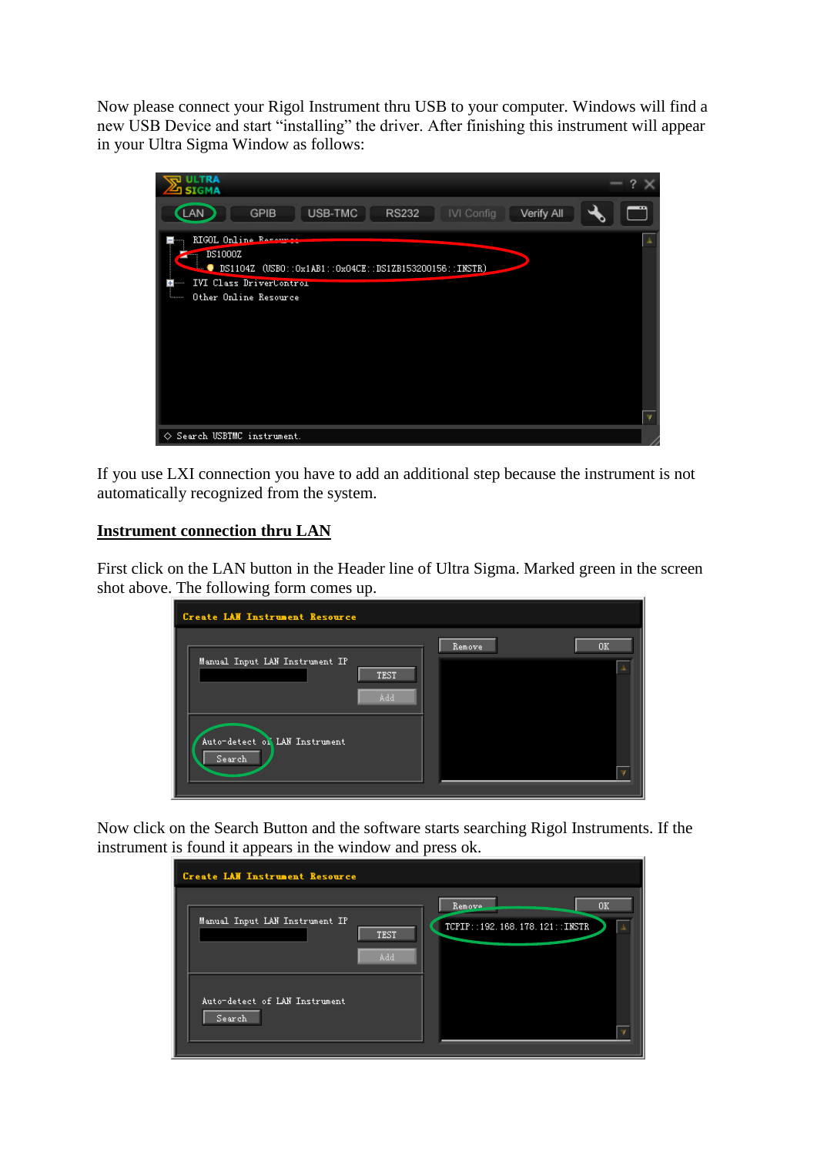Now please connect your Rigol Instrument thru USB to your computer. Windows will find a new USB Device and start "installing" the driver. After finishing this instrument will appear in your Ultra Sigma Window as follows:

| ULTRA<br>$\mathbb{Z}$ ] SIGMA                                                                                                                                       |  |
|---------------------------------------------------------------------------------------------------------------------------------------------------------------------|--|
| USB-TMC<br>LAN<br><b>GPIB</b><br>Verify All<br><b>RS232</b><br>IVI Config                                                                                           |  |
| RIGOL Online Recourt<br>DS1000Z<br>$\frac{1}{2}$ DS1104Z (USBO::0x1AB1::0x04CE::DS1ZB153200156::INSTR)<br>IVI Class DriverContron<br><br>Other Online Resource<br>. |  |
| Search USBTMC instrument.<br>♦                                                                                                                                      |  |

If you use LXI connection you have to add an additional step because the instrument is not automatically recognized from the system.

#### **Instrument connection thru LAN**

First click on the LAN button in the Header line of Ultra Sigma. Marked green in the screen shot above. The following form comes up.

| <b>Create LAW Instrument Resource</b>         |               |         |
|-----------------------------------------------|---------------|---------|
| Manual Input LAN Instrument IP<br>TEST<br>Add | <b>Remove</b> | 0K<br>盂 |
| Auto-detect of LAN Instrument<br>Search       |               |         |

Now click on the Search Button and the software starts searching Rigol Instruments. If the instrument is found it appears in the window and press ok.

| <b>Create LAW Instrument Resource</b>                |                                                |
|------------------------------------------------------|------------------------------------------------|
| Manual Input LAN Instrument IP<br><b>TEST</b><br>Add | 0K<br>Remove.<br>TCPIP::192.168.178.121::INSTR |
| Auto-detect of LAN Instrument<br>Search              |                                                |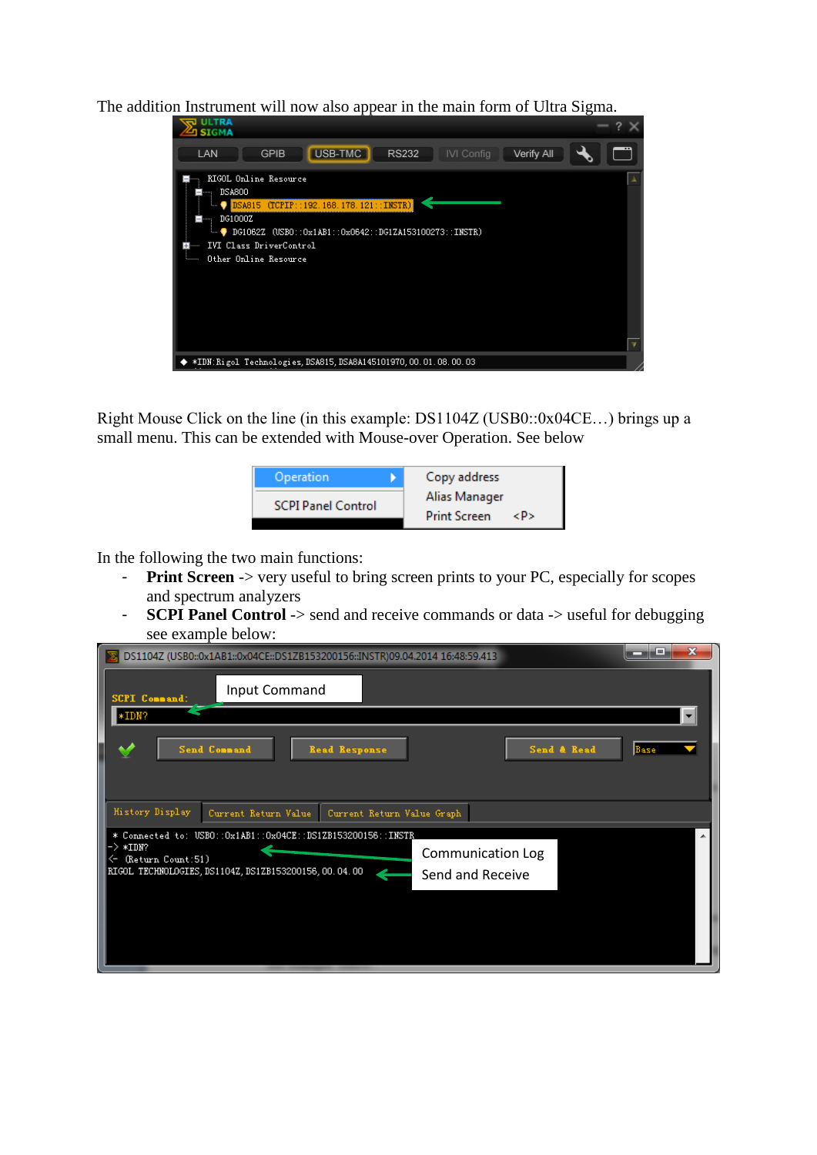The addition Instrument will now also appear in the main form of Ultra Sigma.



Right Mouse Click on the line (in this example: DS1104Z (USB0::0x04CE…) brings up a small menu. This can be extended with Mouse-over Operation. See below



In the following the two main functions:

- **Print Screen** -> very useful to bring screen prints to your PC, especially for scopes and spectrum analyzers
- **SCPI Panel Control** -> send and receive commands or data -> useful for debugging see example below:

| DS1104Z (USB0::0x1AB1::0x04CE::DS1ZB153200156::INSTR)09.04.2014 16:48:59.413         | $\mathbf x$<br>⋴         |
|--------------------------------------------------------------------------------------|--------------------------|
| Input Command<br><b>SCPI</b> Connand:                                                |                          |
| $*IDM?$                                                                              |                          |
| Send Command<br><b>Read Response</b>                                                 | Send & Read<br>Base      |
|                                                                                      |                          |
| <b>History Display</b><br>Current Return Value<br>Current Return Value Graph         |                          |
| * Connected to: USB0::0x1AB1::0x04CE::DS1ZB153200156::INSTR_<br>$\rightarrow *$ IDN? | <b>Communication Log</b> |
| ← (Return Count:51)<br>RIGOL TECHNOLOGIES, DS1104Z, DS1ZB153200156, 00. 04. 00       | Send and Receive         |
|                                                                                      |                          |
|                                                                                      |                          |
|                                                                                      |                          |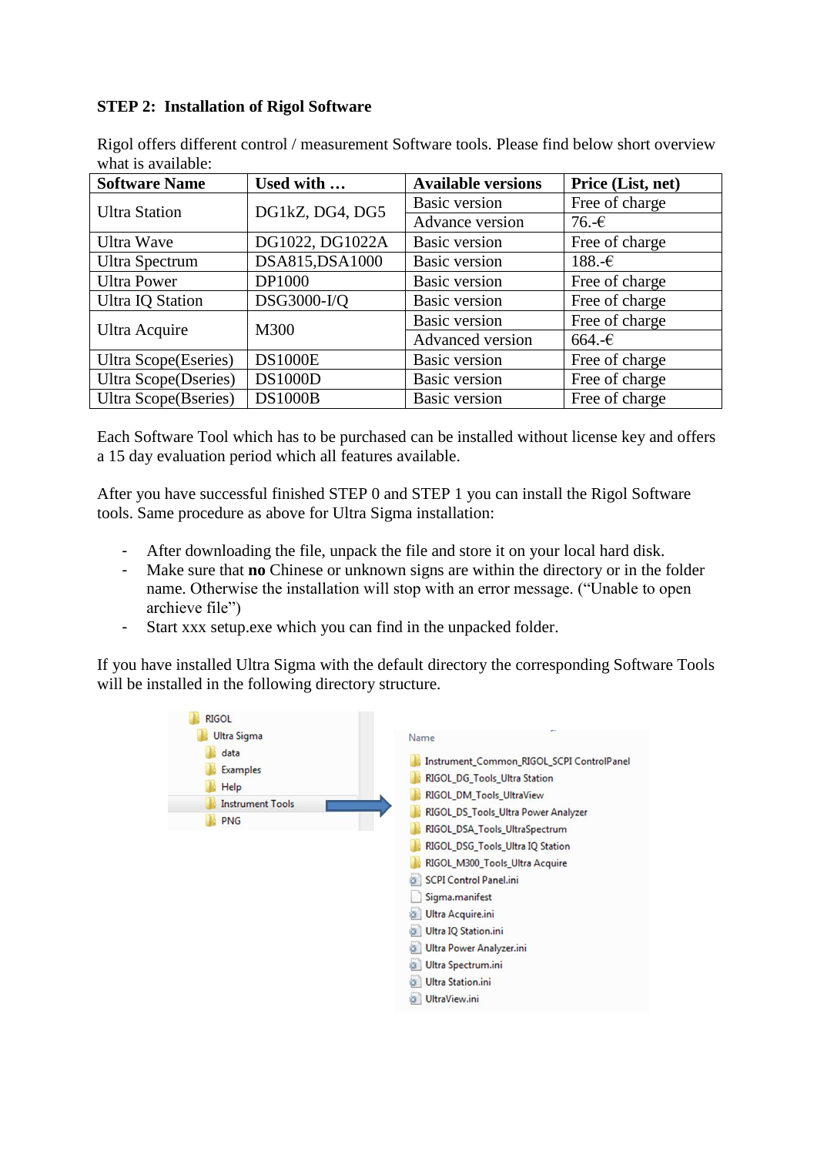## **STEP 2: Installation of Rigol Software**

| WHAL IS AVAIIAUL.            |                 |                           |                   |
|------------------------------|-----------------|---------------------------|-------------------|
| <b>Software Name</b>         | Used with       | <b>Available versions</b> | Price (List, net) |
| <b>Ultra Station</b>         | DG1kZ, DG4, DG5 | <b>Basic version</b>      | Free of charge    |
|                              |                 | Advance version           | $76.-\epsilon$    |
| Ultra Wave                   | DG1022, DG1022A | <b>Basic version</b>      | Free of charge    |
| Ultra Spectrum               | DSA815, DSA1000 | <b>Basic version</b>      | $188.$ -€         |
| <b>Ultra Power</b>           | DP1000          | <b>Basic version</b>      | Free of charge    |
| <b>Ultra IQ Station</b>      | DSG3000-I/Q     | <b>Basic version</b>      | Free of charge    |
| Ultra Acquire                | M300            | <b>Basic version</b>      | Free of charge    |
|                              |                 | Advanced version          | $664.$ -€         |
| <b>Ultra Scope</b> (Eseries) | <b>DS1000E</b>  | <b>Basic version</b>      | Free of charge    |
| <b>Ultra Scope</b> (Dseries) | <b>DS1000D</b>  | <b>Basic version</b>      | Free of charge    |
| <b>Ultra Scope</b> (Bseries) | <b>DS1000B</b>  | Basic version             | Free of charge    |

Rigol offers different control / measurement Software tools. Please find below short overview what is available:

Each Software Tool which has to be purchased can be installed without license key and offers a 15 day evaluation period which all features available.

After you have successful finished STEP 0 and STEP 1 you can install the Rigol Software tools. Same procedure as above for Ultra Sigma installation:

- After downloading the file, unpack the file and store it on your local hard disk.
- Make sure that **no** Chinese or unknown signs are within the directory or in the folder name. Otherwise the installation will stop with an error message. ("Unable to open archieve file")
- Start xxx setup.exe which you can find in the unpacked folder.

If you have installed Ultra Sigma with the default directory the corresponding Software Tools will be installed in the following directory structure.